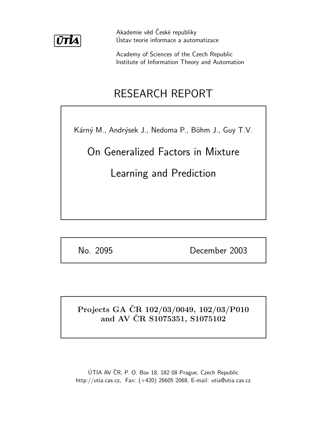

Akademie věd České republiky Ústav teorie informace a automatizace

Academy of Sciences of the Czech Republic Institute of Information Theory and Automation

# RESEARCH REPORT

Kárný M., Andrýsek J., Nedoma P., Böhm J., Guy T.V.

On Generalized Factors in Mixture

Learning and Prediction

No. 2095 December 2003

# Projects GA ČR 102/03/0049, 102/03/P010 and AV ČR S1075351, S1075102

ÚTIA AV ČR, P. O. Box 18, 182 08 Prague, Czech Republic http://utia.cas.cz, Fax: (+420) 26605 2068, E-mail: utia@utia.cas.cz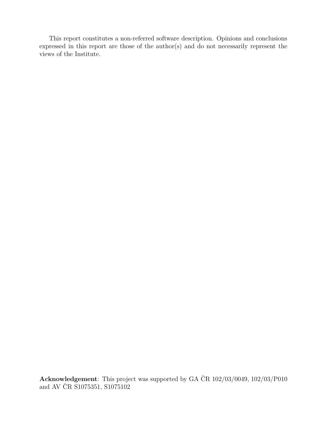This report constitutes a non-referred software description. Opinions and conclusions expressed in this report are those of the author(s) and do not necessarily represent the views of the Institute.

Acknowledgement: This project was supported by GA ČR  $102/03/0049$ ,  $102/03/0010$ and AV ČR S1075351, S1075102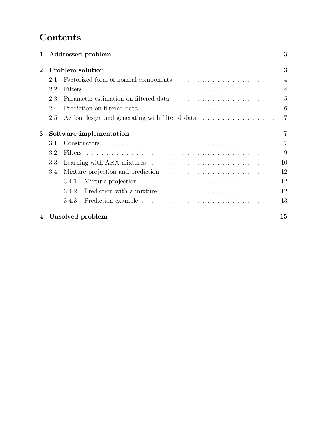# Contents

| $\mathbf 1$    |     | Addressed problem                                                                            | 3              |
|----------------|-----|----------------------------------------------------------------------------------------------|----------------|
| $\overline{2}$ |     | Problem solution                                                                             | 3              |
|                | 2.1 |                                                                                              | $\overline{4}$ |
|                | 2.2 |                                                                                              |                |
|                | 2.3 |                                                                                              |                |
|                | 2.4 | Prediction on filtered data $\ldots \ldots \ldots \ldots \ldots \ldots \ldots \ldots \ldots$ |                |
|                | 2.5 | Action design and generating with filtered data $\ldots \ldots \ldots \ldots$ 7              |                |
| 3              |     | Software implementation                                                                      | 7              |
|                | 3.1 |                                                                                              |                |
|                | 3.2 |                                                                                              |                |
|                | 3.3 |                                                                                              | 10             |
|                | 3.4 |                                                                                              | -12            |
|                |     | 3.4.1                                                                                        | -12            |
|                |     | 3.4.2                                                                                        |                |
|                |     | 3.4.3                                                                                        |                |
|                |     | 4 Unsolved problem                                                                           | 15             |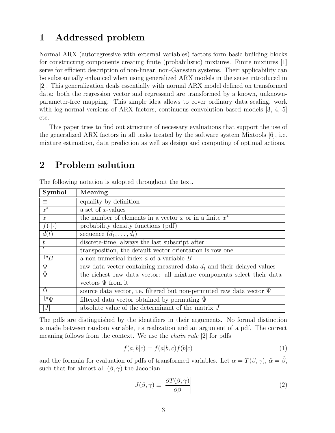# 1 Addressed problem

Normal ARX (autoregressive with external variables) factors form basic building blocks for constructing components creating finite (probabilistic) mixtures. Finite mixtures [1] serve for efficient description of non-linear, non-Gaussian systems. Their applicability can be substantially enhanced when using generalized ARX models in the sense introduced in [2]. This generalization deals essentially with normal ARX model defined on transformed data: both the regression vector and regressand are transformed by a known, unknownparameter-free mapping. This simple idea allows to cover ordinary data scaling, work with log-normal versions of ARX factors, continuous convolution-based models [3, 4, 5] etc.

This paper tries to find out structure of necessary evaluations that support the use of the generalized ARX factors in all tasks treated by the software system Mixtools [6], i.e. mixture estimation, data prediction as well as design and computing of optimal actions.

## 2 Problem solution

| Symbol                                   | Meaning                                                                   |  |  |  |
|------------------------------------------|---------------------------------------------------------------------------|--|--|--|
| $\equiv$                                 | equality by definition                                                    |  |  |  |
| $x^*$                                    | a set of $x$ -values                                                      |  |  |  |
| $\mathring{x}$                           | the number of elements in a vector $x$ or in a finite $x^*$               |  |  |  |
|                                          | probability density functions (pdf)                                       |  |  |  |
| d(t)                                     | sequence $(d_1, \ldots, d_t)$                                             |  |  |  |
| t                                        | discrete-time, always the last subscript after;                           |  |  |  |
|                                          | transposition, the default vector orientation is row one                  |  |  |  |
| $\overline{a}$                           | a non-numerical index $a$ of a variable $B$                               |  |  |  |
| $\Psi$                                   | raw data vector containing measured data $d_t$ and their delayed values   |  |  |  |
| $\bar{\Psi}$                             | the richest raw data vector: all mixture components select their data     |  |  |  |
|                                          | vectors $\Psi$ from it                                                    |  |  |  |
| $\Psi$                                   | source data vector, i.e. filtered but non-permuted raw data vector $\Psi$ |  |  |  |
| $\overline{\mathbb{F}^{\pi} \mathbb{U}}$ | filtered data vector obtained by permuting $\Psi$                         |  |  |  |
| J                                        | absolute value of the determinant of the matrix $J$                       |  |  |  |

The following notation is adopted throughout the text.

The pdfs are distinguished by the identifiers in their arguments. No formal distinction is made between random variable, its realization and an argument of a pdf. The correct meaning follows from the context. We use the chain rule [2] for pdfs

$$
f(a,b|c) = f(a|b,c)f(b|c)
$$
\n<sup>(1)</sup>

and the formula for evaluation of pdfs of transformed variables. Let  $\alpha = T(\beta, \gamma)$ ,  $\alpha = \beta$ , such that for almost all  $(\beta, \gamma)$  the Jacobian

$$
J(\beta, \gamma) \equiv \left| \frac{\partial T(\beta, \gamma)}{\partial \beta} \right| \tag{2}
$$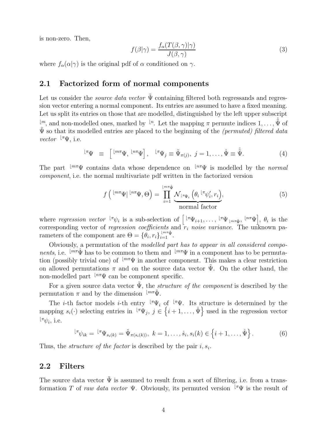is non-zero. Then,

$$
f(\beta|\gamma) = \frac{f_{\alpha}(T(\beta,\gamma)|\gamma)}{J(\beta,\gamma)}
$$
\n(3)

where  $f_{\alpha}(\alpha|\gamma)$  is the original pdf of  $\alpha$  conditioned on  $\gamma$ .

### 2.1 Factorized form of normal components

Let us consider the *source data vector*  $\tilde{\Psi}$  containing filtered both regressands and regression vector entering a normal component. Its entries are assumed to have a fixed meaning. Let us split its entries on those that are modelled, distinguished by the left upper subscript  $\mathbb{R}^m$ , and non-modelled ones, marked by  $\mathbb{R}^n$ . Let the mapping  $\pi$  permute indices  $1, \ldots, \hat{\Psi}$  of  $\tilde{\Psi}$  so that its modelled entries are placed to the beginning of the *(permuted) filtered data vector*  $\mathbb{F}_{\Psi}$ , i.e.

$$
{}^{\lfloor \pi}\Psi \equiv \left[{}^{\lfloor m\pi}\Psi, {}^{\lfloor n\pi}\Psi \rfloor, {}^{\lfloor \pi}\Psi_j \equiv \tilde{\Psi}_{\pi(j)}, j = 1, \ldots, \mathring{\Psi} \equiv \mathring{\tilde{\Psi}}.
$$
 (4)

The part  $\lfloor m\pi \Psi \rfloor$  contains data whose dependence on  $\lfloor n\pi \Psi \rfloor$  is modelled by the normal component, i.e. the normal multivariate pdf written in the factorized version

$$
f\left(\left.\begin{array}{c}\left\lfloor n\pi\psi\right\rfloor\left\lfloor n\pi\psi,\Theta\right.\right.\right)=\prod_{i=1}^{\left\lfloor n\pi\psi\right\rfloor} \mathcal{N}_{\left\lfloor n\psi_i\right\rfloor}\left(\theta_i\left.\begin{array}{c}\left\lfloor n\psi'_i,r_i\right.\right.\right),\\ \text{normal factor}\end{array}\right)
$$
\n(5)

where regression vector  $\mathbb{F}_{\psi_i}$  is a sub-selection of  $\left[\mathbb{F}_{\Psi_{i+1},\ldots} \mathbb{F}_{\Psi_{\lfloor m\pi\hat{\Psi}}},\mathbb{F}_{n}^{n\pi\Psi}\right], \theta_i$  is the corresponding vector of *regression coefficients* and  $r_i$  *noise variance*. The unknown parameters of the component are  $\Theta = {\theta_i, r_i}_{i=1}^{\infty}$ .

Obviously, a permutation of the modelled part has to appear in all considered compo*nents*, i.e.  $\lfloor m\pi \Psi \rfloor$  has to be common to them and  $\lfloor m\pi \Psi \rfloor$  in a component has to be permutation (possibly trivial one) of  $\mathbb{R}^m\Psi$  in another component. This makes a clear restriction on allowed permutations  $\pi$  and on the source data vector  $\Psi$ . On the other hand, the non-modelled part  $\mathfrak{p}_{m}$  can be component specific.

For a given source data vector  $\tilde{\Psi}$ , the *structure of the component* is described by the permutation  $\pi$  and by the dimension  $\lim_{\mu \to \mathbf{V}}$ .

The *i*-th factor models *i*-th entry  $\mathbb{F}_{\Psi_i}$  of  $\mathbb{F}_{\Psi}$ . Its structure is determined by the mapping  $s_i(\cdot)$  selecting entries in  $\langle \pi \Psi_j, j \in \{i+1,\ldots,\mathring{\Psi}\}\rangle$  used in the regression vector  $\iota^{\pi}\psi_i$ , i.e.

$$
{}^{\lfloor \pi} \psi_{ik} = {}^{\lfloor \pi} \Psi_{s_i(k)} = \tilde{\Psi}_{\pi(s_i(k))}, \ k = 1, \ldots, \dot{s}_i, s_i(k) \in \{i+1, \ldots, \dot{\Psi}\}.
$$
 (6)

Thus, the *structure of the factor* is described by the pair  $i, s_i$ .

### 2.2 Filters

The source data vector  $\tilde{\Psi}$  is assumed to result from a sort of filtering, i.e. from a transformation T of raw data vector  $\Psi$ . Obviously, its permuted version  $\mathbb{F} \Psi$  is the result of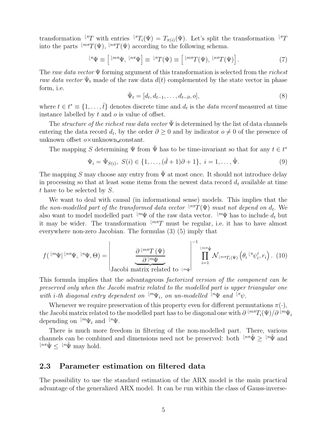transformation  $\mathbb{F}T$  with entries  $\mathbb{F}T_i(\Psi) = T_{\pi(i)}(\Psi)$ . Let's split the transformation  $\mathbb{F}T$ into the parts  $\mathsf{Im}T(\Psi)$ ,  $\mathsf{Im}T(\Psi)$  according to the following schema.

$$
{}^{\lfloor \pi}\Psi \equiv \left[ \; {}^{\lfloor m\pi}\Psi, \; {}^{\lfloor n\pi}\Psi \right] \equiv {}^{\lfloor \pi}T(\Psi) \equiv \left[ \; {}^{\lfloor m\pi}T(\Psi), \; {}^{\lfloor n\pi}T(\Psi) \right]. \tag{7}
$$

The raw data vector  $\Psi$  forming argument of this transformation is selected from the richest raw data vector  $\bar{\Psi}_t$  made of the raw data  $d(t)$  complemented by the state vector in phase form, i.e.

$$
\bar{\Psi}_t = [d_t, d_{t-1}, \dots, d_{t-\partial}, o],\tag{8}
$$

where  $t \in t^* \equiv \{1, \ldots, t\}$  denotes discrete time and  $d_t$  is the *data record* measured at time instance labelled by  $t$  and  $o$  is value of offset.

The *structure of the richest raw data vector*  $\bar{\Psi}$  is determined by the list of data channels entering the data record  $d_t$ , by the order  $\partial \geq 0$  and by indicator  $o \neq 0$  of the presence of unknown offset  $o \times$ unknown constant.

The mapping S determining  $\Psi$  from  $\overline{\Psi}$  has to be time-invariant so that for any  $t \in t^*$ 

$$
\Psi_i = \bar{\Psi}_{S(i)}, \ S(i) \in \{1, \dots, (\mathring{d} + 1)\partial + 1\}, \ i = 1, \dots, \mathring{\Psi}.
$$
 (9)

The mapping S may choose any entry from  $\bar{\Psi}$  at most once. It should not introduce delay in processing so that at least some items from the newest data record  $d_t$  available at time t have to be selected by  $S$ .

We want to deal with causal (in informational sense) models. This implies that the the non-modelled part of the transformed data vector  $\mathbb{L}^{n\pi}T(\Psi)$  must not depend on  $d_t$ . We also want to model modelled part  $\mu^w\Psi$  of the raw data vector.  $\mu^w\Psi$  has to include  $d_t$  but it may be wider. The transformation  $\frac{m\pi}{T}$  must be regular, i.e. it has to have almost everywhere non-zero Jacobian. The formulas (3) (5) imply that

$$
f\left(\sqrt{\left\lfloor m\psi\right\rfloor\left\lfloor n\pi\psi,\right.\lfloor n\psi,\Theta\right)}\right)=\left|\frac{\partial\left\lfloor m\pi\right(\psi)\right\rfloor}{\partial\left\lfloor m\psi\right\rfloor}\right|^{-1}\prod_{i=1}^{\left\lfloor m\pi\psi\right\rfloor} \mathcal{N}_{\left\lfloor m\pi\right\rfloor\left(\psi\right)}\left(\theta_i\left\lfloor \pi\psi_i',r_i\right\rfloor.\right.\right.\left(10)
$$

This formula implies that the advantageous factorized version of the component can be preserved only when the Jacobi matrix related to the modelled part is upper triangular one with *i*-th diagonal entry dependent on  $\mathbb{L}^m\Psi_i$ , on un-modelled  $\mathbb{L}^n\Psi$  and  $\mathbb{L}^m\Psi$ .

Whenever we require preservation of this property even for different permutations  $\pi(\cdot)$ , the Jacobi matrix related to the modelled part has to be diagonal one with  $\partial\,^{\lfloor m\pi}T_i(\Psi)/\partial\,^{\lfloor m}\Psi_i$ depending on  $\mathsf{L}^m \Psi_i$  and  $\mathsf{L}^n \Psi$ .

There is much more freedom in filtering of the non-modelled part. There, various channels can be combined and dimensions need not be preserved: both  $\frac{ln \pi \psi}{2} \geq \frac{ln \psi}{2}$  and  $e^{\ln\pi}\Psi \leq e^{\ln\Psi}$  may hold.

#### 2.3 Parameter estimation on filtered data

The possibility to use the standard estimation of the ARX model is the main practical advantage of the generalized ARX model. It can be run within the class of Gauss-inverse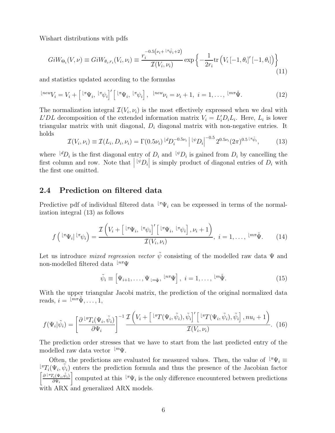Wishart distributions with pdfs

$$
GiW_{\Theta_i}(V,\nu) \equiv GiW_{\theta_i,r_i}(V_i,\nu_i) \equiv \frac{r_i^{-0.5(\nu_i + \lfloor \pi_{\psi_i+2})} }{\mathcal{I}(V_i,\nu_i)} \exp\left\{-\frac{1}{2r_i} \text{tr}\left(V_i\left[-1,\theta_i\right]'\left[-1,\theta_i\right]\right)\right\}
$$
(11)

and statistics updated according to the formulas

$$
{}^{\lfloor new}V_i = V_i + \left[{}^{\lfloor \pi} \Psi_i, {}^{\lfloor \pi} \psi_i \right]^{\prime} \left[{}^{\lfloor \pi} \Psi_i, {}^{\lfloor \pi} \psi_i \right], {}^{\lfloor new} \nu_i = \nu_i + 1, \ i = 1, \dots, {}^{\lfloor m \pi} \mathring{\Psi}.
$$
 (12)

The normalization integral  $\mathcal{I}(V_i, \nu_i)$  is the most effectively expressed when we deal with  $L'DL$  decomposition of the extended information matrix  $V_i = L'_i D_i L_i$ . Here,  $L_i$  is lower triangular matrix with unit diagonal,  $D_i$  diagonal matrix with non-negative entries. It holds

$$
\mathcal{I}(V_i, \nu_i) \equiv \mathcal{I}(L_i, D_i, \nu_i) = \Gamma(0.5\nu_i)^{\lfloor d} D_i^{-0.5\nu_i} \left| \sqrt[k]{D_i} \right|^{-0.5} 2^{0.5\nu_i} (2\pi)^{0.5^{\lfloor \pi_{\psi_i}^2 \rfloor}}, \tag{13}
$$

where  $\mu^d D_i$  is the first diagonal entry of  $D_i$  and  $\mu^b D_i$  is gained from  $D_i$  by cancelling the first column and row. Note that  $\left| \begin{matrix} \tilde{\psi} \\ P_i \end{matrix} \right|$  is simply product of diagonal entries of  $D_i$  with the first one omitted.

### 2.4 Prediction on filtered data

Predictive pdf of individual filtered data  $\mathbb{F}_{\Psi_i}$  can be expressed in terms of the normalization integral (13) as follows

$$
f\left({}^{\lfloor \pi}\Psi_i\rfloor \, {}^{\lfloor \pi}\psi_i\right) = \frac{\mathcal{I}\left(V_i + \left[{}^{\lfloor \pi}\Psi_i, \, {}^{\lfloor \pi}\psi_i\rfloor' \left[{}^{\lfloor \pi}\Psi_i, \, {}^{\lfloor \pi}\psi_i\rfloor, \, \nu_i + 1\right]\right)}{\mathcal{I}(V_i, \, \nu_i)}, \, i = 1, \dots, \, {}^{\lfloor \pi\pi}\mathring{\Psi}. \tag{14}
$$

Let us introduce *mixed regression vector*  $\tilde{\psi}$  consisting of the modelled raw data  $\Psi$  and non-modelled filtered data  $\mathbb{L}^{n\pi}\Psi$ 

$$
\tilde{\psi}_i \equiv \left[\Psi_{i+1}, \dots, \Psi_{\lfloor m\tilde{\Psi}\rfloor}, \frac{\lfloor n\pi \Psi \rfloor}{n\pi} \right], \quad i = 1, \dots, \frac{\lfloor m\tilde{\Psi}\rfloor}{n\pi}.
$$
\n(15)

With the upper triangular Jacobi matrix, the prediction of the original normalized data reads,  $i = \sqrt{\ln \pi} \Psi, \ldots, 1$ ,

$$
f(\Psi_i|\tilde{\psi}_i) = \left[\frac{\partial \, \,^{\lfloor \pi} T_i(\Psi_i, \tilde{\psi}_i)}{\partial \Psi_i}\right]^{-1} \frac{\mathcal{I}\left(V_i + \left[\,^{\lfloor \pi} T(\Psi_i, \tilde{\psi}_i), \tilde{\psi}_i\right]'\left[\,^{\lfloor \pi} T(\Psi_i, \tilde{\psi}_i), \tilde{\psi}_i\right], nu_i + 1\right)}{\mathcal{I}(V_i, \nu_i)}.\tag{16}
$$

The prediction order stresses that we have to start from the last predicted entry of the modelled raw data vector  $\iota^{m}\Psi$ .

Often, the predictions are evaluated for measured values. Then, the value of  $\mathbf{F}_{\Psi_i}$  ≡  $\bar{z}$ <sup>[ $\pi T_i(\Psi_i, \tilde{\psi}_i)$ </sup> enters the prediction formula and thus the presence of the Jacobian factor  $\int \partial \, \iota \pi T_i(\Psi_i, \tilde{\psi}_i)$  $\partial \Psi_i$ computed at this  $\mathbb{F}_{\Psi_i}$  is the only difference encountered between predictions with ARX and generalized ARX models.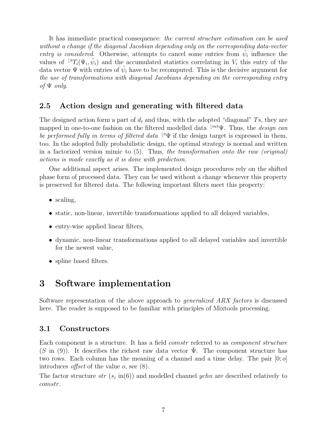It has immediate practical consequence: the current structure estimation can be used without a change if the diagonal Jacobian depending only on the corresponding data-vector entry is considered. Otherwise, attempts to cancel some entries from  $\tilde{\psi}_i$  influence the values of  $\mathbb{I}^{\pi}T_i(\Psi_i, \tilde{\psi}_i)$  and the accumulated statistics correlating in  $V_i$  this entry of the data vector  $\Psi$  with entries of  $\tilde{\psi}_i$  have to be recomputed. This is the decisive argument for the use of transformations with diagonal Jacobians depending on the corresponding entry of  $\Psi$  only.

### 2.5 Action design and generating with filtered data

The designed action form a part of  $d_t$  and thus, with the adopted "diagonal" Ts, they are mapped in one-to-one fashion on the filtered modelled data  $\mathbb{L}^{m\pi}\Psi$ . Thus, the *design can* be performed fully in terms of filtered data  $\mathbb{F}\Psi$  if the design target is expressed in them, too. In the adopted fully probabilistic design, the optimal strategy is normal and written in a factorized version mimic to (5). Thus, the transformation onto the raw (original) actions is made exactly as it is done with prediction.

One additional aspect arises. The implemented design procedures rely on the shifted phase form of processed data. They can be used without a change whenever this property is preserved for filtered data. The following important filters meet this property:

- scaling,
- static, non-linear, invertible transformations applied to all delayed variables,
- entry-wise applied linear filters,
- dynamic, non-linear transformations applied to all delayed variables and invertible for the newest value,
- spline based filters.

### 3 Software implementation

Software representation of the above approach to generalized ARX factors is discussed here. The reader is supposed to be familiar with principles of Mixtools processing.

### 3.1 Constructors

Each component is a structure. It has a field *comstr* referred to as *component structure*  $(S \text{ in } (9))$ . It describes the richest raw data vector  $\Psi$ . The component structure has two rows. Each column has the meaning of a channel and a time delay. The pair  $[0; o]$ introduces *offset* of the value  $o$ , see  $(8)$ .

The factor structure  $str(s_i \text{ in} (6))$  and modelled channel  $ychn$  are described relatively to comstr.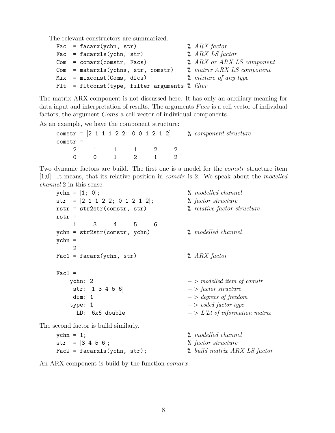The relevant constructors are summarized.

| Fac = $facarx(ychn, str)$                        | $\lambda$ ARX factor             |
|--------------------------------------------------|----------------------------------|
| Fac = $facarxls(ychn, str)$                      | $\%$ ARX LS factor               |
| $Com = comarx$ (comstr, Facs)                    | <i>L</i> ARX or ARX LS component |
| $Com = \text{matarxls}(ychns, str, comstr)$      | <i>%</i> matrix ARX LS component |
| $Mix = mixconst(Cons, dfcs)$                     | $%$ mixture of any type          |
| Flt = fltconst(type, filter arguments % $filter$ |                                  |

The matrix ARX component is not discussed here. It has only an auxiliary meaning for data input and interpretation of results. The arguments Facs is a cell vector of individual factors, the argument Coms a cell vector of individual components.

As an example, we have the component structure:

comstr =  $[2 \ 1 \ 1 \ 1 \ 2 \ 2; \ 0 \ 0 \ 1 \ 2 \ 1 \ 2]$  % component structure comstr = 2 1 1 1 2 2 0 0 1 2 1 2

Two dynamic factors are build. The first one is a model for the *comstr* structure item [1;0]. It means, that its relative position in comstr is 2. We speak about the modelled channel 2 in this sense.

| $\text{ychn} = [1; 0];$               | <i>l</i> , modelled channel      |
|---------------------------------------|----------------------------------|
| str = $[2 1 1 2 2; 0 1 2 1 2];$       | % factor structure               |
| $rstr = str2str(constr, str)$         | % relative factor structure      |
| $rstr =$                              |                                  |
| $\mathbf{1}$<br>$3 \quad 4$<br>5<br>6 |                                  |
| $ychn = str2str(constr, ychn)$        | <i>l</i> , modelled channel      |
| $ychn =$                              |                                  |
| $\mathcal{D}$                         |                                  |
| $Fac1 = facarx(ychn, str)$            | $\lambda$ ARX factor             |
|                                       |                                  |
| $Fac1 =$                              |                                  |
| ychn: 2                               | $-$ > modelled item of comstr    |
| str: $[1 \ 3 \ 4 \ 5 \ 6]$            | $-$ > factor structure           |
| dfm: 1                                | $-$ > degrees of freedom         |
| type: 1                               | $-$ > coded factor type          |
| LD: [6x6 double]                      | $-$ > L'Lt of information matrix |
| The second factor is build similarly. |                                  |
|                                       |                                  |

 $ychn = 1$ ;  $\% modelled channel$  $str = [3 4 5 6];$  % factor structure  $\text{Fac2 = facarxls(ychn, str)}$ ;  $\text{W} \text{build matrix } ARX \text{ } LS \text{ factor}$ 

An ARX component is build by the function *comarx*.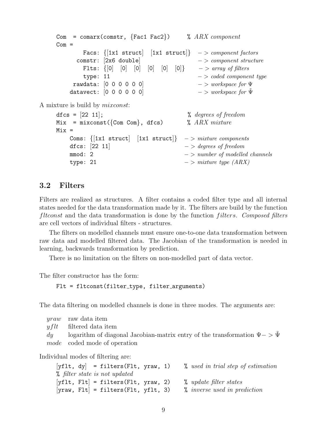```
Com = comarx(comstr, {Fac1 Fac2}) % ARX component
    Com =Facs: \{[1x1 struct] [1x1 struct]} -> component factors
          comstr: [2x6 double] - > component structure
           Flts: \{0|0|0|0|0|0|0| \rightarrow \text{array of filters}type: 11 - > coded component type
         rawdata: [0 \ 0 \ 0 \ 0 \ 0] - > workspace for \Psidatavect: [0 \ 0 \ 0 \ 0 \ 0] - > workspace for \tilde{\Psi}A mixture is build by mixconst:
    dfcs = [22 \t11]; \% degrees of freedom
    Mix = mixconst({Com Com}, dfcs) % ARX mixture
    Mix =Coms: \{[1x1 struct] [1x1 struct]} -> mixture components
        dfcs: [22 \ 11] - > degrees of freedom
        \text{mmod}: 2 \longrightarrow \text{number of modelled channels}type: 21 - > mixture type (ARX)
```
### 3.2 Filters

Filters are realized as structures. A filter contains a coded filter type and all internal states needed for the data transformation made by it. The filters are build by the function filtconst and the data transformation is done by the function *filters. Composed filters* are cell vectors of individual filters - structures.

The filters on modelled channels must ensure one-to-one data transformation between raw data and modelled filtered data. The Jacobian of the transformation is needed in learning, backwards transformation by prediction.

There is no limitation on the filters on non-modelled part of data vector.

The filter constructor has the form:

Flt = fltconst(filter\_type, filter\_arguments)

The data filtering on modelled channels is done in three modes. The arguments are:

| <i>yraw</i> raw data item                                                          |
|------------------------------------------------------------------------------------|
| $yflt$ filtered data item                                                          |
| dy logarithm of diagonal Jacobian-matrix entry of the transformation $\Psi - \Psi$ |
| <i>mode</i> coded mode of operation                                                |

Individual modes of filtering are:

|  | $[yf]$ , dy = filters(Flt, yraw, 1)                                      |  |                                                     |  | % used in trial step of estimation |  |
|--|--------------------------------------------------------------------------|--|-----------------------------------------------------|--|------------------------------------|--|
|  | % filter state is not updated                                            |  |                                                     |  |                                    |  |
|  | $[yf]$ . Flt = filters(Flt, yraw, 2)                                     |  | $%$ update filter states                            |  |                                    |  |
|  | $[\text{grav}, \text{Flt}] = \text{filters}(\text{Flt}, \text{yflt}, 3)$ |  | <i>l</i> , <i>inverse</i> used <i>in prediction</i> |  |                                    |  |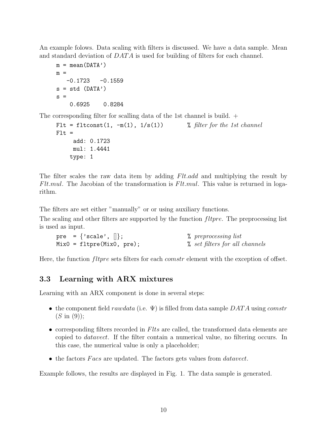An example folows. Data scaling with filters is discussed. We have a data sample. Mean and standard deviation of DATA is used for building of filters for each channel.

```
m = mean(DATA')m =-0.1723 - 0.1559s = std (DATA')s =0.6925 0.8284
```
The corresponding filter for scalling data of the 1st channel is build.  $+$ 

```
Flt = fltconst(1, -m(1), 1/s(1)) % filter for the 1st channel
Flt =add: 0.1723
     mul: 1.4441
    type: 1
```
The filter scales the raw data item by adding Flt.add and multiplying the result by Flt.mul. The Jacobian of the transformation is Flt.mul. This value is returned in logarithm.

The filters are set either "manually" or or using auxiliary functions.

The scaling and other filters are supported by the function *fltpre*. The preprocessing list is used as input.

| pre = {'scale', $\vert\vert$ }; | % preprocessing list           |
|---------------------------------|--------------------------------|
| $Mix0 = fltype(Mix0, pre);$     | % set filters for all channels |

Here, the function *fltpre* sets filters for each *comstr* element with the exception of offset.

### 3.3 Learning with ARX mixtures

Learning with an ARX component is done in several steps:

- the component field rawdata (i.e.  $\Psi$ ) is filled from data sample DATA using comstr  $(S \in (9))$ ;
- corresponding filters recorded in  $Flts$  are called, the transformed data elements are copied to datavect. If the filter contain a numerical value, no filtering occurs. In this case, the numerical value is only a placeholder;
- the factors Facs are updated. The factors gets values from *datavect*.

Example follows, the results are displayed in Fig. 1. The data sample is generated.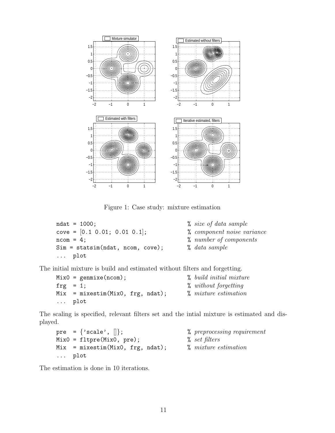

Figure 1: Case study: mixture estimation

```
ndat = 1000; \% size of data sample
cove = [0.1 \ 0.01; \ 0.01 \ 0.1]; % component noise variance
ncom = 4; \% number of components
Sim = statsim(ndat, ncom, cove); % data sample
... plot
```
- 
- 
- 
- 

The initial mixture is build and estimated without filters and forgetting.

```
MixO = genuine(ncom); % build initial mixture
\text{trg} = 1; \% without forgetting
Mix = mixestim(Mix0, frg, ndat); % mixture\ estimation... plot
```
The scaling is specified, relevant filters set and the intial mixture is estimated and displayed.

```
pre = \{'scale', \|\}; \qquad \qquad % preprocessing requirement
Mix0 = filtere(Mix0, pre); % set filters
Mix = mixestim(Mix0, frg, ndat); % mixture estimation
... plot
```
The estimation is done in 10 iterations.

- 
- 
- 

11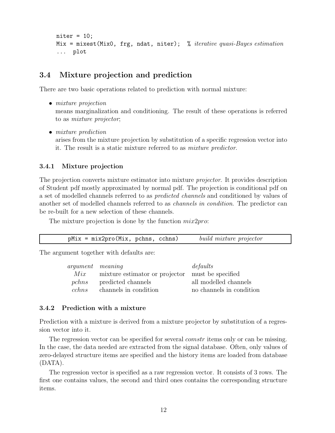```
niter = 10;
Mix = mixest(MixO, frg, ndat, niter); % iterative quasi-Bayes estimation
... plot
```
### 3.4 Mixture projection and prediction

There are two basic operations related to prediction with normal mixture:

- *mixture projection* means marginalization and conditioning. The result of these operations is referred to as mixture projector;
	- mixture prediction arises from the mixture projection by substitution of a specific regression vector into it. The result is a static mixture referred to as mixture predictor.

### 3.4.1 Mixture projection

The projection converts mixture estimator into mixture projector. It provides description of Student pdf mostly approximated by normal pdf. The projection is conditional pdf on a set of modelled channels referred to as predicted channels and conditioned by values of another set of modelled channels referred to as channels in condition. The predictor can be re-built for a new selection of these channels.

The mixture projection is done by the function  $mix2pro$ :

| $pMix = mix2pro(Mix, pchns, cchns)$ |  |  | build mixture projector |
|-------------------------------------|--|--|-------------------------|
|-------------------------------------|--|--|-------------------------|

The argument together with defaults are:

| <i>argument meaning</i> |                                                  | $\,de$ faults            |
|-------------------------|--------------------------------------------------|--------------------------|
| Mix                     | mixture estimator or projector must be specified |                          |
| pchns                   | predicted channels                               | all modelled channels    |
| cchns                   | channels in condition                            | no channels in condition |
|                         |                                                  |                          |

#### 3.4.2 Prediction with a mixture

Prediction with a mixture is derived from a mixture projector by substitution of a regression vector into it.

The regression vector can be specified for several *comstr* items only or can be missing. In the case, the data needed are extracted from the signal database. Often, only values of zero-delayed structure items are specified and the history items are loaded from database (DATA).

The regression vector is specified as a raw regression vector. It consists of 3 rows. The first one contains values, the second and third ones contains the corresponding structure items.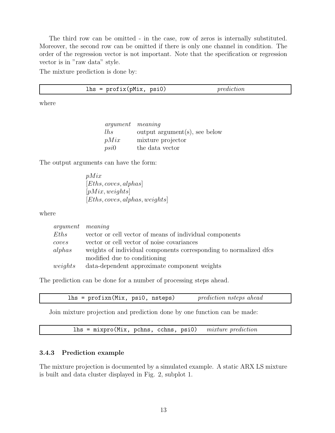The third row can be omitted - in the case, row of zeros is internally substituted. Moreover, the second row can be omitted if there is only one channel in condition. The order of the regression vector is not important. Note that the specification or regression vector is in "raw data" style.

The mixture prediction is done by:

where

argument meaning lhs output argument(s), see below  $pMix$  mixture projector psi0 the data vector

The output arguments can have the form:

pMix [Eths, coves, alphas]  $[*pMix*, *weights*]$ [Eths, coves, alphas, weights]

where

| <i>argument meaning</i> |                                                                   |
|-------------------------|-------------------------------------------------------------------|
| Eths                    | vector or cell vector of means of individual components           |
| coves                   | vector or cell vector of noise covariances                        |
| $alpha$ s               | weights of individual components corresponding to normalized dfcs |
|                         | modified due to conditioning                                      |
| weights                 | data-dependent approximate component weights                      |

The prediction can be done for a number of processing steps ahead.

| $lhs = \text{profixn(Mix, psi0, nsteps)}$ | <i>prediction nsteps ahead</i> |
|-------------------------------------------|--------------------------------|
|-------------------------------------------|--------------------------------|

Join mixture projection and prediction done by one function can be made:

 $\text{lns}$  = mixpro(Mix, pchns, cchns, psi0) mixture prediction

#### 3.4.3 Prediction example

The mixture projection is documented by a simulated example. A static ARX LS mixture is built and data cluster displayed in Fig. 2, subplot 1.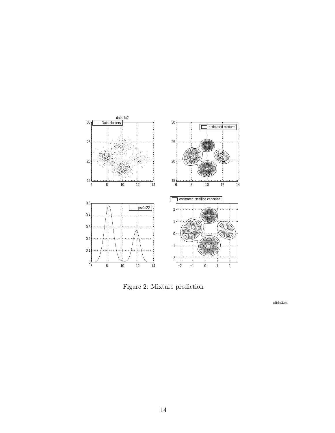

Figure 2: Mixture prediction

slide3.m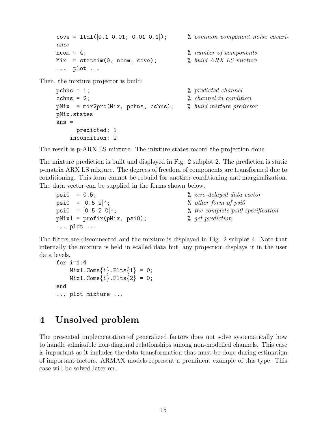```
cove = ltd1([0.1 0.01; 0.01 0.1]); % common component noise covari-
ance
\text{ncom} = 4; \% \text{ number of components}Mix = statsim(0, ncom, cove); % build ARX LS mixture
... plot ...
```
Then, the mixture projector is build:

```
pchns = 1; \% predicted channel
cchns = 2; \% channel in condition
pMix = mix2pro(Mix, pchns, cchns); % build mixture predictor
pMix.states
ans =
    predicted: 1
   incondition: 2
```
The result is p-ARX LS mixture. The mixture states record the projection done.

The mixture prediction is built and displayed in Fig. 2 subplot 2. The prediction is static p-matrix ARX LS mixture. The degrees of freedom of components are transformed due to conditioning. This form cannot be rebuild for another conditioning and marginalization. The data vector can be supplied in the forms shown below.

| $psi = 0.5;$                   | $% zero-delayed data vector$        |
|--------------------------------|-------------------------------------|
| $psi = [0.5 2]$ ;              | $%$ other form of $psi$             |
| psi0 = $[0.5 2 0]$ ;           | $%$ the complete psi0 specification |
| $pMix1 = profitx(pMix, psi0);$ | % get prediction                    |
| $\ldots$ plot $\ldots$         |                                     |

The filters are disconnected and the mixture is displayed in Fig. 2 subplot 4. Note that internally the mixture is held in scalled data but, any projection displays it in the user data levels.

```
for i=1:4Mix1.Cons\{i\}.Flts\{1\} = 0;Mix1.Coms{i}.Flts{2} = 0;end
... plot mixture ...
```
# 4 Unsolved problem

The presented implementation of generalized factors does not solve systematically how to handle admissible non-diagonal relationships among non-modelled channels. This case is important as it includes the data transformation that must be done during estimation of important factors. ARMAX models represent a prominent example of this type. This case will be solved later on.